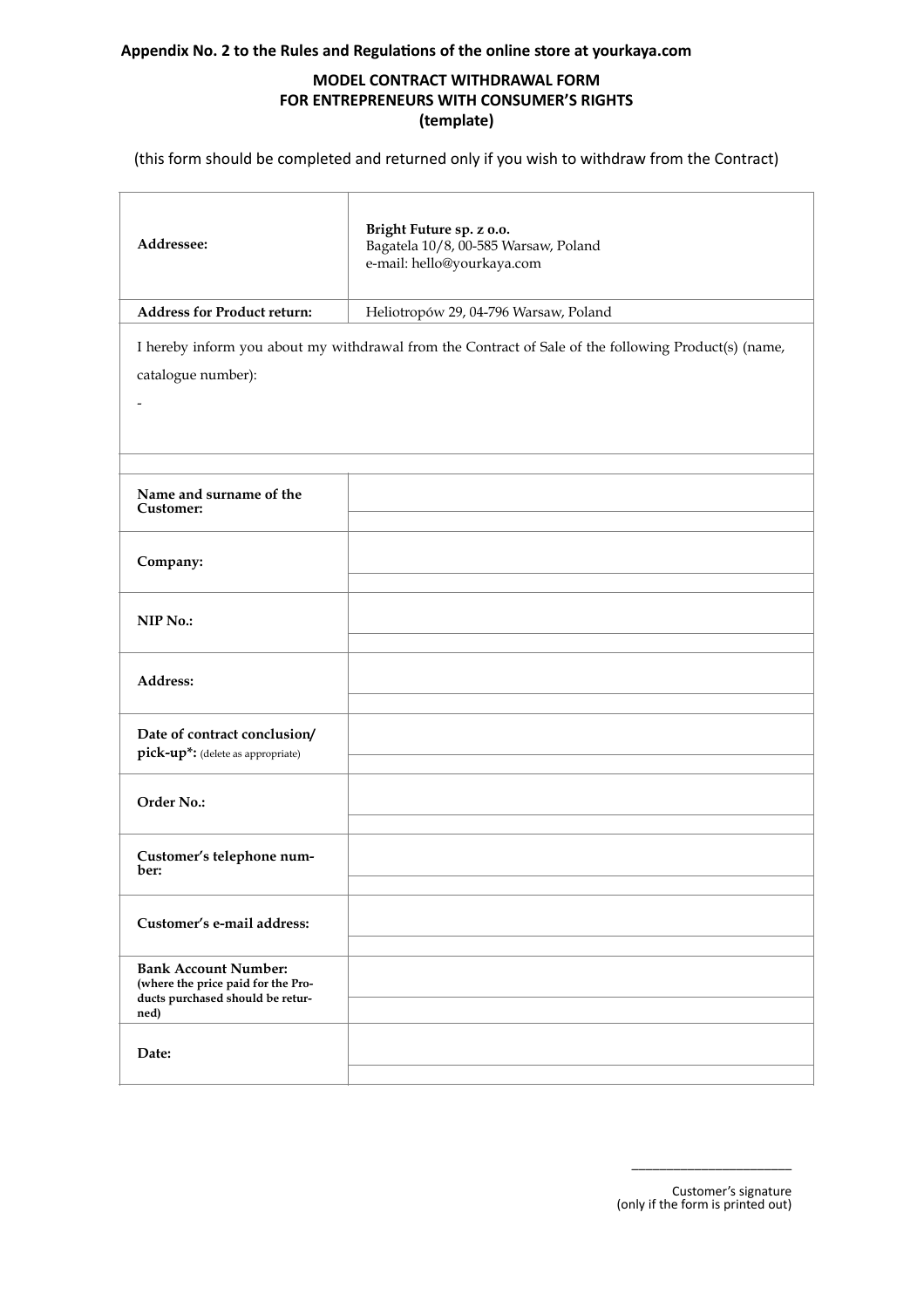## **Appendix No. 2 to the Rules and Regulations of the online store at yourkaya.com**

## **MODEL CONTRACT WITHDRAWAL FORM FOR ENTREPRENEURS WITH CONSUMER'S RIGHTS (template)**

(this form should be completed and returned only if you wish to withdraw from the Contract)

| Addressee:                                                                                                                 | Bright Future sp. z o.o.<br>Bagatela 10/8, 00-585 Warsaw, Poland<br>e-mail: hello@yourkaya.com |  |
|----------------------------------------------------------------------------------------------------------------------------|------------------------------------------------------------------------------------------------|--|
| <b>Address for Product return:</b>                                                                                         | Heliotropów 29, 04-796 Warsaw, Poland                                                          |  |
| I hereby inform you about my withdrawal from the Contract of Sale of the following Product(s) (name,<br>catalogue number): |                                                                                                |  |
| Name and surname of the<br>Customer:                                                                                       |                                                                                                |  |
| Company:                                                                                                                   |                                                                                                |  |
| NIP No.:                                                                                                                   |                                                                                                |  |
| Address:                                                                                                                   |                                                                                                |  |
| Date of contract conclusion/<br>pick-up*: (delete as appropriate)                                                          |                                                                                                |  |
| Order No.:                                                                                                                 |                                                                                                |  |
| Customer's telephone num-<br>ber:                                                                                          |                                                                                                |  |
| Customer's e-mail address:                                                                                                 |                                                                                                |  |
| <b>Bank Account Number:</b><br>(where the price paid for the Pro-<br>ducts purchased should be retur-<br>ned)              |                                                                                                |  |
| Date:                                                                                                                      |                                                                                                |  |

Customer's signature (only if the form is printed out)

\_\_\_\_\_\_\_\_\_\_\_\_\_\_\_\_\_\_\_\_\_\_\_